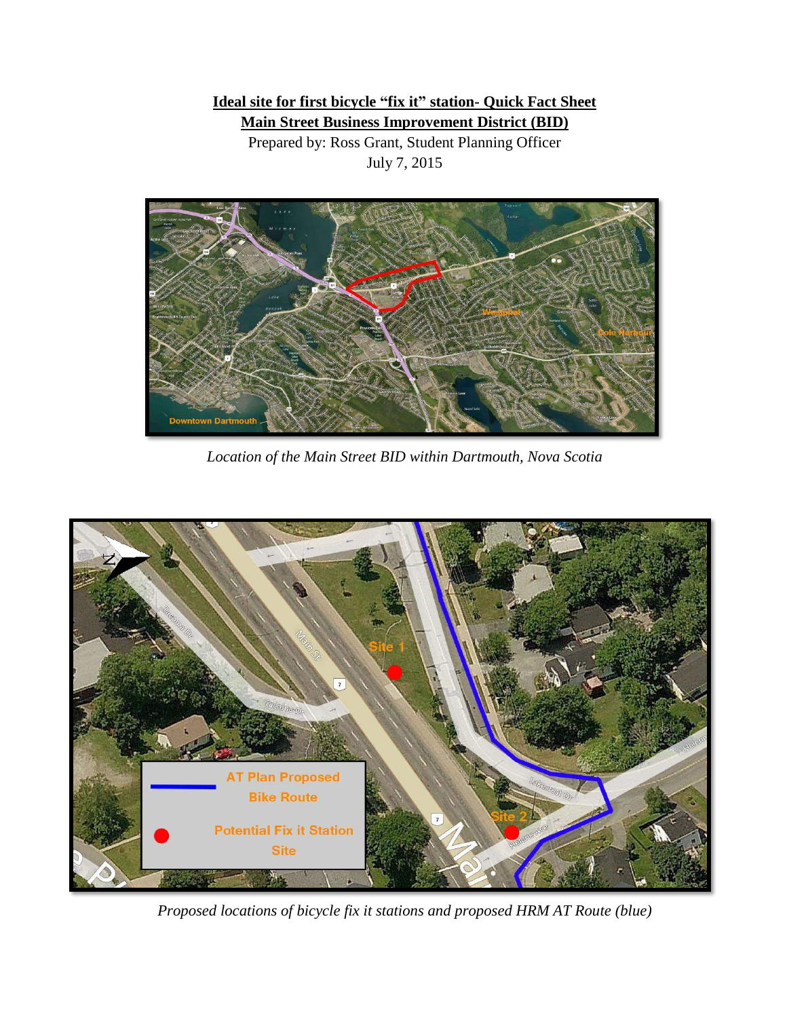## **Ideal site for first bicycle "fix it" station- Quick Fact Sheet Main Street Business Improvement District (BID)**

Prepared by: Ross Grant, Student Planning Officer July 7, 2015



*Location of the Main Street BID within Dartmouth, Nova Scotia*



*Proposed locations of bicycle fix it stations and proposed HRM AT Route (blue)*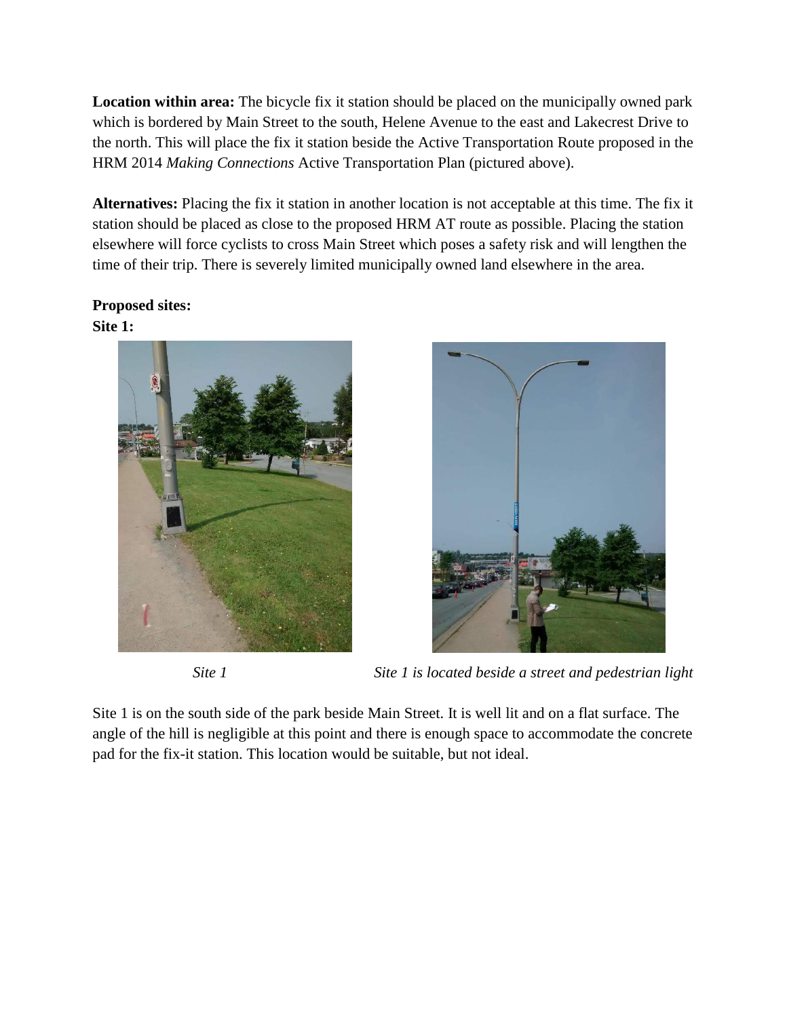**Location within area:** The bicycle fix it station should be placed on the municipally owned park which is bordered by Main Street to the south, Helene Avenue to the east and Lakecrest Drive to the north. This will place the fix it station beside the Active Transportation Route proposed in the HRM 2014 *Making Connections* Active Transportation Plan (pictured above).

**Alternatives:** Placing the fix it station in another location is not acceptable at this time. The fix it station should be placed as close to the proposed HRM AT route as possible. Placing the station elsewhere will force cyclists to cross Main Street which poses a safety risk and will lengthen the time of their trip. There is severely limited municipally owned land elsewhere in the area.

## **Proposed sites: Site 1:**





*Site 1 Site 1 is located beside a street and pedestrian light*

Site 1 is on the south side of the park beside Main Street. It is well lit and on a flat surface. The angle of the hill is negligible at this point and there is enough space to accommodate the concrete pad for the fix-it station. This location would be suitable, but not ideal.